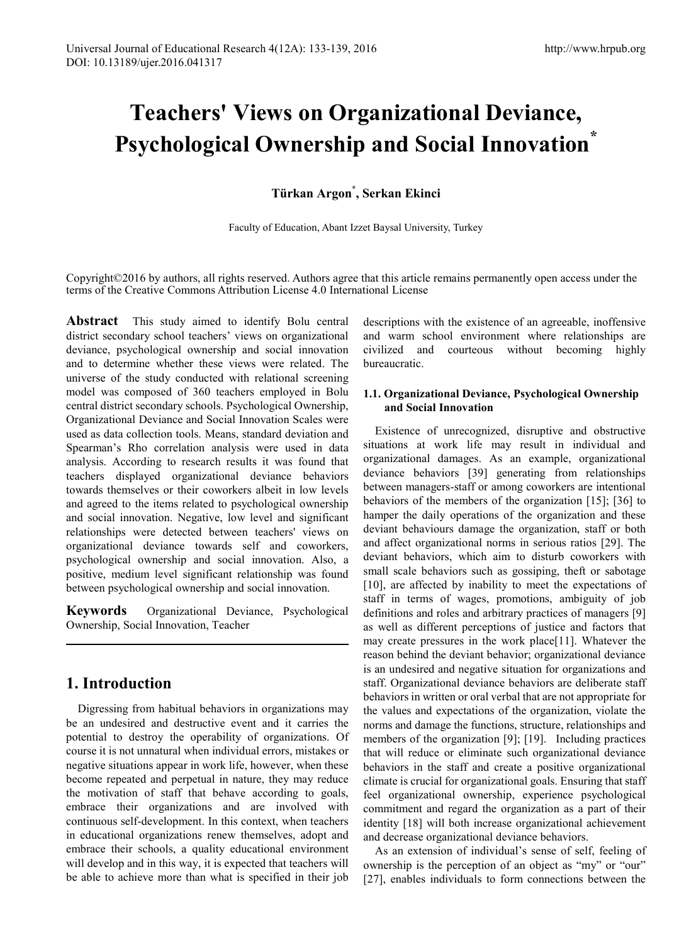# **Teachers' Views on Organizational Deviance, Psychological Ownership and Social Innovation\***

**Türkan Argon\* , Serkan Ekinci**

Faculty of Education, Abant Izzet Baysal University, Turkey

Copyright©2016 by authors, all rights reserved. Authors agree that this article remains permanently open access under the terms of the Creative Commons Attribution License 4.0 International License

**Abstract** This study aimed to identify Bolu central district secondary school teachers' views on organizational deviance, psychological ownership and social innovation and to determine whether these views were related. The universe of the study conducted with relational screening model was composed of 360 teachers employed in Bolu central district secondary schools. Psychological Ownership, Organizational Deviance and Social Innovation Scales were used as data collection tools. Means, standard deviation and Spearman's Rho correlation analysis were used in data analysis. According to research results it was found that teachers displayed organizational deviance behaviors towards themselves or their coworkers albeit in low levels and agreed to the items related to psychological ownership and social innovation. Negative, low level and significant relationships were detected between teachers' views on organizational deviance towards self and coworkers, psychological ownership and social innovation. Also, a positive, medium level significant relationship was found between psychological ownership and social innovation.

**Keywords** Organizational Deviance, Psychological Ownership, Social Innovation, Teacher

# **1. Introduction**

Digressing from habitual behaviors in organizations may be an undesired and destructive event and it carries the potential to destroy the operability of organizations. Of course it is not unnatural when individual errors, mistakes or negative situations appear in work life, however, when these become repeated and perpetual in nature, they may reduce the motivation of staff that behave according to goals, embrace their organizations and are involved with continuous self-development. In this context, when teachers in educational organizations renew themselves, adopt and embrace their schools, a quality educational environment will develop and in this way, it is expected that teachers will be able to achieve more than what is specified in their job

descriptions with the existence of an agreeable, inoffensive and warm school environment where relationships are civilized and courteous without becoming highly bureaucratic.

## **1.1. Organizational Deviance, Psychological Ownership and Social Innovation**

Existence of unrecognized, disruptive and obstructive situations at work life may result in individual and organizational damages. As an example, organizational deviance behaviors [39] generating from relationships between managers-staff or among coworkers are intentional behaviors of the members of the organization [15]; [36] to hamper the daily operations of the organization and these deviant behaviours damage the organization, staff or both and affect organizational norms in serious ratios [29]. The deviant behaviors, which aim to disturb coworkers with small scale behaviors such as gossiping, theft or sabotage [10], are affected by inability to meet the expectations of staff in terms of wages, promotions, ambiguity of job definitions and roles and arbitrary practices of managers [9] as well as different perceptions of justice and factors that may create pressures in the work place[11]. Whatever the reason behind the deviant behavior; organizational deviance is an undesired and negative situation for organizations and staff. Organizational deviance behaviors are deliberate staff behaviors in written or oral verbal that are not appropriate for the values and expectations of the organization, violate the norms and damage the functions, structure, relationships and members of the organization [9]; [19]. Including practices that will reduce or eliminate such organizational deviance behaviors in the staff and create a positive organizational climate is crucial for organizational goals. Ensuring that staff feel organizational ownership, experience psychological commitment and regard the organization as a part of their identity [18] will both increase organizational achievement and decrease organizational deviance behaviors.

As an extension of individual's sense of self, feeling of ownership is the perception of an object as "my" or "our" [27], enables individuals to form connections between the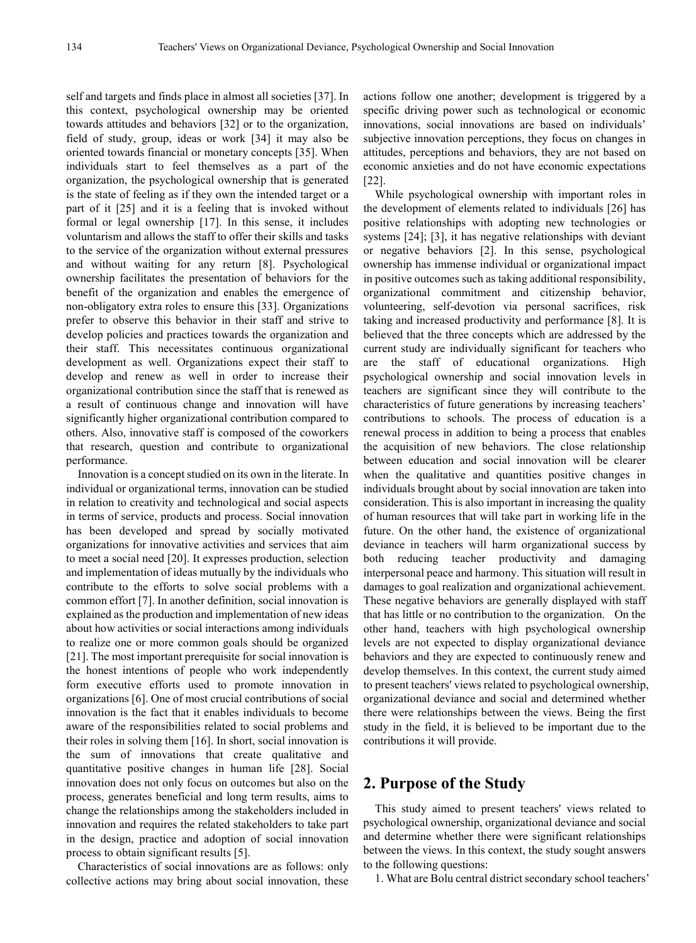self and targets and finds place in almost all societies [37]. In this context, psychological ownership may be oriented towards attitudes and behaviors [32] or to the organization, field of study, group, ideas or work [34] it may also be oriented towards financial or monetary concepts [35]. When individuals start to feel themselves as a part of the organization, the psychological ownership that is generated is the state of feeling as if they own the intended target or a part of it [25] and it is a feeling that is invoked without formal or legal ownership [17]. In this sense, it includes voluntarism and allows the staff to offer their skills and tasks to the service of the organization without external pressures and without waiting for any return [8]. Psychological ownership facilitates the presentation of behaviors for the benefit of the organization and enables the emergence of non-obligatory extra roles to ensure this [33]. Organizations prefer to observe this behavior in their staff and strive to develop policies and practices towards the organization and their staff. This necessitates continuous organizational development as well. Organizations expect their staff to develop and renew as well in order to increase their organizational contribution since the staff that is renewed as a result of continuous change and innovation will have significantly higher organizational contribution compared to others. Also, innovative staff is composed of the coworkers that research, question and contribute to organizational performance.

Innovation is a concept studied on its own in the literate. In individual or organizational terms, innovation can be studied in relation to creativity and technological and social aspects in terms of service, products and process. Social innovation has been developed and spread by socially motivated organizations for innovative activities and services that aim to meet a social need [20]. It expresses production, selection and implementation of ideas mutually by the individuals who contribute to the efforts to solve social problems with a common effort [7]. In another definition, social innovation is explained as the production and implementation of new ideas about how activities or social interactions among individuals to realize one or more common goals should be organized [21]. The most important prerequisite for social innovation is the honest intentions of people who work independently form executive efforts used to promote innovation in organizations [6]. One of most crucial contributions of social innovation is the fact that it enables individuals to become aware of the responsibilities related to social problems and their roles in solving them [16]. In short, social innovation is the sum of innovations that create qualitative and quantitative positive changes in human life [28]. Social innovation does not only focus on outcomes but also on the process, generates beneficial and long term results, aims to change the relationships among the stakeholders included in innovation and requires the related stakeholders to take part in the design, practice and adoption of social innovation process to obtain significant results [5].

Characteristics of social innovations are as follows: only collective actions may bring about social innovation, these

actions follow one another; development is triggered by a specific driving power such as technological or economic innovations, social innovations are based on individuals' subjective innovation perceptions, they focus on changes in attitudes, perceptions and behaviors, they are not based on economic anxieties and do not have economic expectations [22].

While psychological ownership with important roles in the development of elements related to individuals [26] has positive relationships with adopting new technologies or systems [24]; [3], it has negative relationships with deviant or negative behaviors [2]. In this sense, psychological ownership has immense individual or organizational impact in positive outcomes such as taking additional responsibility, organizational commitment and citizenship behavior, volunteering, self-devotion via personal sacrifices, risk taking and increased productivity and performance [8]. It is believed that the three concepts which are addressed by the current study are individually significant for teachers who are the staff of educational organizations. High psychological ownership and social innovation levels in teachers are significant since they will contribute to the characteristics of future generations by increasing teachers' contributions to schools. The process of education is a renewal process in addition to being a process that enables the acquisition of new behaviors. The close relationship between education and social innovation will be clearer when the qualitative and quantities positive changes in individuals brought about by social innovation are taken into consideration. This is also important in increasing the quality of human resources that will take part in working life in the future. On the other hand, the existence of organizational deviance in teachers will harm organizational success by both reducing teacher productivity and damaging interpersonal peace and harmony. This situation will result in damages to goal realization and organizational achievement. These negative behaviors are generally displayed with staff that has little or no contribution to the organization. On the other hand, teachers with high psychological ownership levels are not expected to display organizational deviance behaviors and they are expected to continuously renew and develop themselves. In this context, the current study aimed to present teachers' views related to psychological ownership, organizational deviance and social and determined whether there were relationships between the views. Being the first study in the field, it is believed to be important due to the contributions it will provide.

## **2. Purpose of the Study**

This study aimed to present teachers' views related to psychological ownership, organizational deviance and social and determine whether there were significant relationships between the views. In this context, the study sought answers to the following questions:

1. What are Bolu central district secondary school teachers'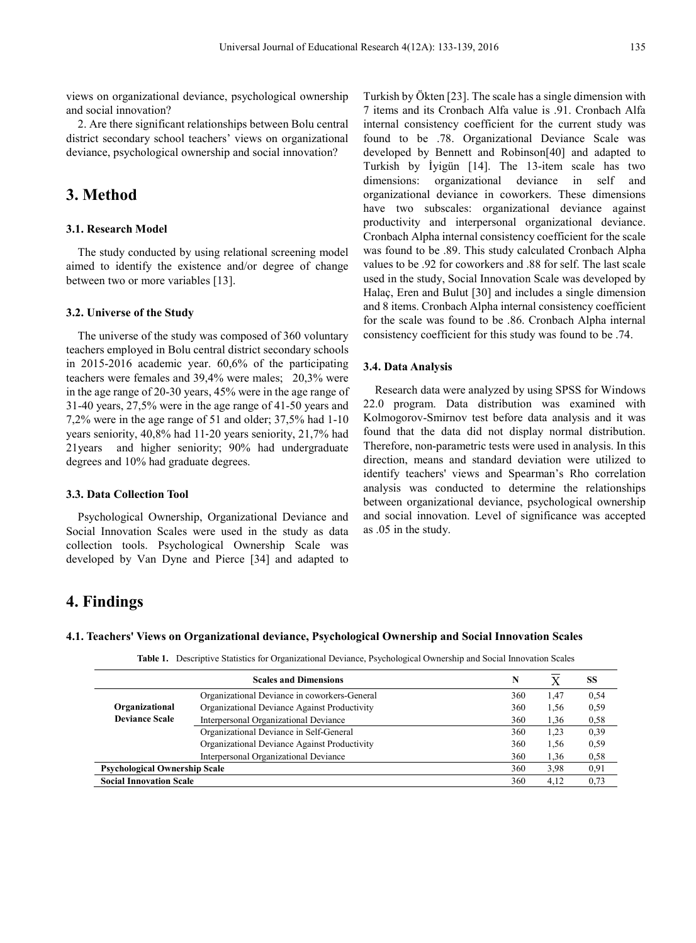views on organizational deviance, psychological ownership and social innovation?

2. Are there significant relationships between Bolu central district secondary school teachers' views on organizational deviance, psychological ownership and social innovation?

## **3. Method**

## **3.1. Research Model**

The study conducted by using relational screening model aimed to identify the existence and/or degree of change between two or more variables [13].

#### **3.2. Universe of the Study**

The universe of the study was composed of 360 voluntary teachers employed in Bolu central district secondary schools in 2015-2016 academic year. 60,6% of the participating teachers were females and 39,4% were males; 20,3% were in the age range of 20-30 years, 45% were in the age range of 31-40 years, 27,5% were in the age range of 41-50 years and 7,2% were in the age range of 51 and older; 37,5% had 1-10 years seniority, 40,8% had 11‐20 years seniority, 21,7% had 21years and higher seniority; 90% had undergraduate degrees and 10% had graduate degrees.

#### **3.3. Data Collection Tool**

Psychological Ownership, Organizational Deviance and Social Innovation Scales were used in the study as data collection tools. Psychological Ownership Scale was developed by Van Dyne and Pierce [34] and adapted to Turkish by Ökten [23]. The scale has a single dimension with 7 items and its Cronbach Alfa value is .91. Cronbach Alfa internal consistency coefficient for the current study was found to be .78. Organizational Deviance Scale was developed by Bennett and Robinson[40] and adapted to Turkish by İyigün [14]. The 13-item scale has two dimensions: organizational deviance in self and organizational deviance in coworkers. These dimensions have two subscales: organizational deviance against productivity and interpersonal organizational deviance. Cronbach Alpha internal consistency coefficient for the scale was found to be .89. This study calculated Cronbach Alpha values to be .92 for coworkers and .88 for self. The last scale used in the study, Social Innovation Scale was developed by Halaç, Eren and Bulut [30] and includes a single dimension and 8 items. Cronbach Alpha internal consistency coefficient for the scale was found to be .86. Cronbach Alpha internal consistency coefficient for this study was found to be .74.

#### **3.4. Data Analysis**

Research data were analyzed by using SPSS for Windows 22.0 program. Data distribution was examined with Kolmogorov-Smirnov test before data analysis and it was found that the data did not display normal distribution. Therefore, non-parametric tests were used in analysis. In this direction, means and standard deviation were utilized to identify teachers' views and Spearman's Rho correlation analysis was conducted to determine the relationships between organizational deviance, psychological ownership and social innovation. Level of significance was accepted as .05 in the study.

# **4. Findings**

#### **4.1. Teachers' Views on Organizational deviance, Psychological Ownership and Social Innovation Scales**

**Table 1.** Descriptive Statistics for Organizational Deviance, Psychological Ownership and Social Innovation Scales

|                                      | <b>Scales and Dimensions</b>                 | N   |      | SS   |
|--------------------------------------|----------------------------------------------|-----|------|------|
|                                      | Organizational Deviance in coworkers-General | 360 | 1,47 | 0.54 |
| Organizational                       | Organizational Deviance Against Productivity | 360 | 1.56 | 0,59 |
| <b>Deviance Scale</b>                | Interpersonal Organizational Deviance        | 360 | 1,36 | 0,58 |
|                                      | Organizational Deviance in Self-General      | 360 | 1,23 | 0.39 |
|                                      | Organizational Deviance Against Productivity | 360 | 1.56 | 0.59 |
|                                      | Interpersonal Organizational Deviance        | 360 | 1,36 | 0,58 |
| <b>Psychological Ownership Scale</b> |                                              | 360 | 3.98 | 0,91 |
| <b>Social Innovation Scale</b>       |                                              | 360 | 4,12 | 0,73 |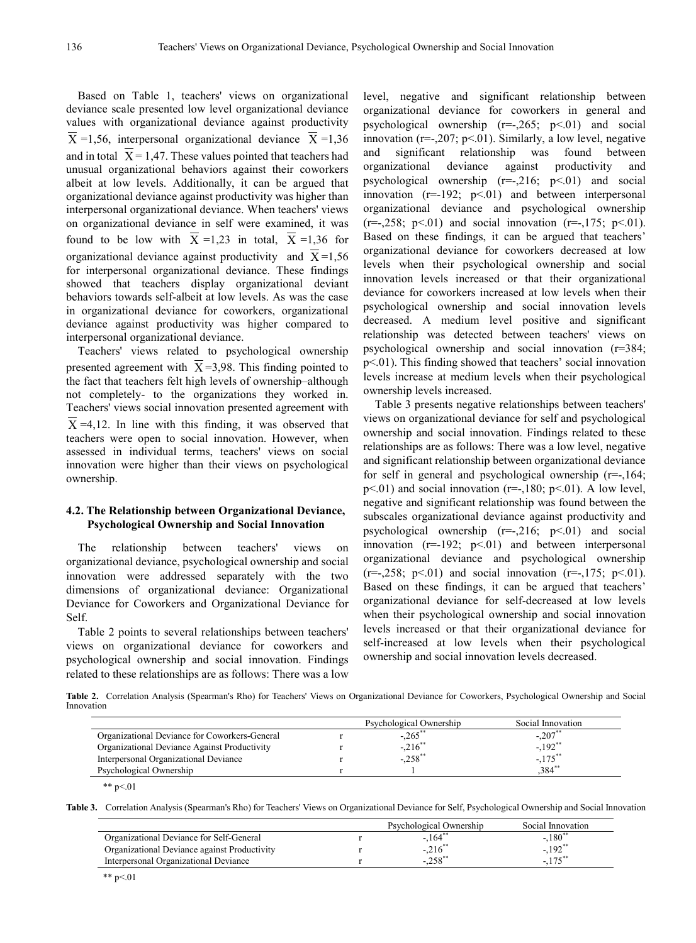Based on Table 1, teachers' views on organizational deviance scale presented low level organizational deviance values with organizational deviance against productivity  $X = 1,56$ , interpersonal organizational deviance  $X = 1,36$ and in total  $X = 1,47$ . These values pointed that teachers had unusual organizational behaviors against their coworkers albeit at low levels. Additionally, it can be argued that organizational deviance against productivity was higher than interpersonal organizational deviance. When teachers' views on organizational deviance in self were examined, it was found to be low with  $X = 1,23$  in total,  $X = 1,36$  for organizational deviance against productivity and  $X=1,56$ for interpersonal organizational deviance. These findings showed that teachers display organizational deviant behaviors towards self-albeit at low levels. As was the case in organizational deviance for coworkers, organizational deviance against productivity was higher compared to interpersonal organizational deviance.

Teachers' views related to psychological ownership presented agreement with  $X = 3.98$ . This finding pointed to the fact that teachers felt high levels of ownership–although not completely- to the organizations they worked in. Teachers' views social innovation presented agreement with  $X = 4,12$ . In line with this finding, it was observed that teachers were open to social innovation. However, when assessed in individual terms, teachers' views on social innovation were higher than their views on psychological ownership.

### **4.2. The Relationship between Organizational Deviance, Psychological Ownership and Social Innovation**

The relationship between teachers' views on organizational deviance, psychological ownership and social innovation were addressed separately with the two dimensions of organizational deviance: Organizational Deviance for Coworkers and Organizational Deviance for Self.

Table 2 points to several relationships between teachers' views on organizational deviance for coworkers and psychological ownership and social innovation. Findings related to these relationships are as follows: There was a low

level, negative and significant relationship between organizational deviance for coworkers in general and psychological ownership  $(r=-265; p<01)$  and social innovation ( $r=-207$ ;  $p<01$ ). Similarly, a low level, negative and significant relationship was found between organizational deviance against productivity and psychological ownership (r=-,216; p<.01) and social innovation  $(r=-192; p<01)$  and between interpersonal organizational deviance and psychological ownership  $(r=-0.258; \, p<0.01)$  and social innovation  $(r=-0.175; \, p<0.01)$ . Based on these findings, it can be argued that teachers' organizational deviance for coworkers decreased at low levels when their psychological ownership and social innovation levels increased or that their organizational deviance for coworkers increased at low levels when their psychological ownership and social innovation levels decreased. A medium level positive and significant relationship was detected between teachers' views on psychological ownership and social innovation (r=384; p<.01). This finding showed that teachers' social innovation levels increase at medium levels when their psychological ownership levels increased.

Table 3 presents negative relationships between teachers' views on organizational deviance for self and psychological ownership and social innovation. Findings related to these relationships are as follows: There was a low level, negative and significant relationship between organizational deviance for self in general and psychological ownership  $(r=-164;$  $p<01$ ) and social innovation (r=-,180;  $p<01$ ). A low level, negative and significant relationship was found between the subscales organizational deviance against productivity and psychological ownership  $(r=-0.216; p<0.01)$  and social innovation  $(r=192; p<01)$  and between interpersonal organizational deviance and psychological ownership  $(r=-0.258; p<0.01)$  and social innovation  $(r=-0.175; p<0.01)$ . Based on these findings, it can be argued that teachers' organizational deviance for self-decreased at low levels when their psychological ownership and social innovation levels increased or that their organizational deviance for self-increased at low levels when their psychological ownership and social innovation levels decreased.

**Table 2.** Correlation Analysis (Spearman's Rho) for Teachers' Views on Organizational Deviance for Coworkers, Psychological Ownership and Social Innovation

| Psychological Ownership | Social Innovation                  |
|-------------------------|------------------------------------|
| $-.265$ **              | $-.207*$                           |
|                         | $-.192$ <sup>**</sup>              |
|                         | $-.175$ **                         |
|                         | 384"                               |
|                         | $-.216$ <sup>**</sup><br>$-.258**$ |

<sup>\*\*</sup>  $p < 01$ 

**Table 3.** Correlation Analysis (Spearman's Rho) for Teachers' Views on Organizational Deviance for Self, Psychological Ownership and Social Innovation

|                                              | Psychological Ownership | Social Innovation     |
|----------------------------------------------|-------------------------|-----------------------|
| Organizational Deviance for Self-General     | $-.164$ <sup>*</sup>    | $-180^{**}$           |
| Organizational Deviance against Productivity | $-.216$                 | $-.192$ <sup>**</sup> |
| Interpersonal Organizational Deviance        | $-.258$ **              | $-7e^{**}$            |
|                                              |                         |                       |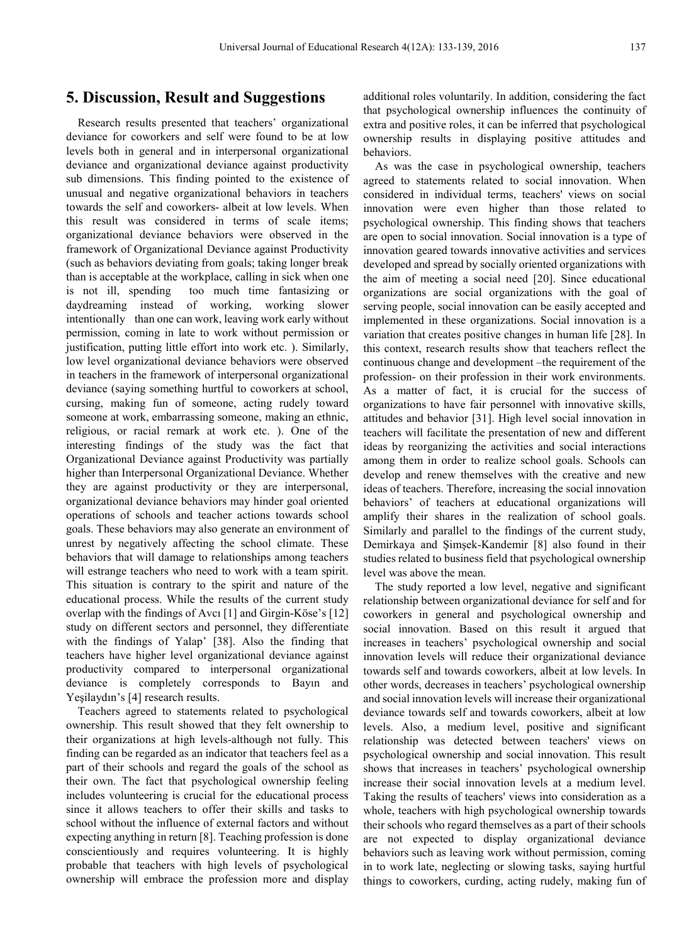## **5. Discussion, Result and Suggestions**

Research results presented that teachers' organizational deviance for coworkers and self were found to be at low levels both in general and in interpersonal organizational deviance and organizational deviance against productivity sub dimensions. This finding pointed to the existence of unusual and negative organizational behaviors in teachers towards the self and coworkers- albeit at low levels. When this result was considered in terms of scale items; organizational deviance behaviors were observed in the framework of Organizational Deviance against Productivity (such as behaviors deviating from goals; taking longer break than is acceptable at the workplace, calling in sick when one is not ill, spending too much time fantasizing or daydreaming instead of working, working slower intentionally than one can work, leaving work early without permission, coming in late to work without permission or justification, putting little effort into work etc. ). Similarly, low level organizational deviance behaviors were observed in teachers in the framework of interpersonal organizational deviance (saying something hurtful to coworkers at school, cursing, making fun of someone, acting rudely toward someone at work, embarrassing someone, making an ethnic, religious, or racial remark at work etc. ). One of the interesting findings of the study was the fact that Organizational Deviance against Productivity was partially higher than Interpersonal Organizational Deviance. Whether they are against productivity or they are interpersonal, organizational deviance behaviors may hinder goal oriented operations of schools and teacher actions towards school goals. These behaviors may also generate an environment of unrest by negatively affecting the school climate. These behaviors that will damage to relationships among teachers will estrange teachers who need to work with a team spirit. This situation is contrary to the spirit and nature of the educational process. While the results of the current study overlap with the findings of Avcı [1] and Girgin-Köse's [12] study on different sectors and personnel, they differentiate with the findings of Yalap' [38]. Also the finding that teachers have higher level organizational deviance against productivity compared to interpersonal organizational deviance is completely corresponds to Bayın and Yeşilaydın's [4] research results.

Teachers agreed to statements related to psychological ownership. This result showed that they felt ownership to their organizations at high levels-although not fully. This finding can be regarded as an indicator that teachers feel as a part of their schools and regard the goals of the school as their own. The fact that psychological ownership feeling includes volunteering is crucial for the educational process since it allows teachers to offer their skills and tasks to school without the influence of external factors and without expecting anything in return [8]. Teaching profession is done conscientiously and requires volunteering. It is highly probable that teachers with high levels of psychological ownership will embrace the profession more and display

additional roles voluntarily. In addition, considering the fact that psychological ownership influences the continuity of extra and positive roles, it can be inferred that psychological ownership results in displaying positive attitudes and behaviors.

As was the case in psychological ownership, teachers agreed to statements related to social innovation. When considered in individual terms, teachers' views on social innovation were even higher than those related to psychological ownership. This finding shows that teachers are open to social innovation. Social innovation is a type of innovation geared towards innovative activities and services developed and spread by socially oriented organizations with the aim of meeting a social need [20]. Since educational organizations are social organizations with the goal of serving people, social innovation can be easily accepted and implemented in these organizations. Social innovation is a variation that creates positive changes in human life [28]. In this context, research results show that teachers reflect the continuous change and development –the requirement of the profession- on their profession in their work environments. As a matter of fact, it is crucial for the success of organizations to have fair personnel with innovative skills, attitudes and behavior [31]. High level social innovation in teachers will facilitate the presentation of new and different ideas by reorganizing the activities and social interactions among them in order to realize school goals. Schools can develop and renew themselves with the creative and new ideas of teachers. Therefore, increasing the social innovation behaviors' of teachers at educational organizations will amplify their shares in the realization of school goals. Similarly and parallel to the findings of the current study, Demirkaya and Şimşek-Kandemir [8] also found in their studies related to business field that psychological ownership level was above the mean.

The study reported a low level, negative and significant relationship between organizational deviance for self and for coworkers in general and psychological ownership and social innovation. Based on this result it argued that increases in teachers' psychological ownership and social innovation levels will reduce their organizational deviance towards self and towards coworkers, albeit at low levels. In other words, decreases in teachers' psychological ownership and social innovation levels will increase their organizational deviance towards self and towards coworkers, albeit at low levels. Also, a medium level, positive and significant relationship was detected between teachers' views on psychological ownership and social innovation. This result shows that increases in teachers' psychological ownership increase their social innovation levels at a medium level. Taking the results of teachers' views into consideration as a whole, teachers with high psychological ownership towards their schools who regard themselves as a part of their schools are not expected to display organizational deviance behaviors such as leaving work without permission, coming in to work late, neglecting or slowing tasks, saying hurtful things to coworkers, curding, acting rudely, making fun of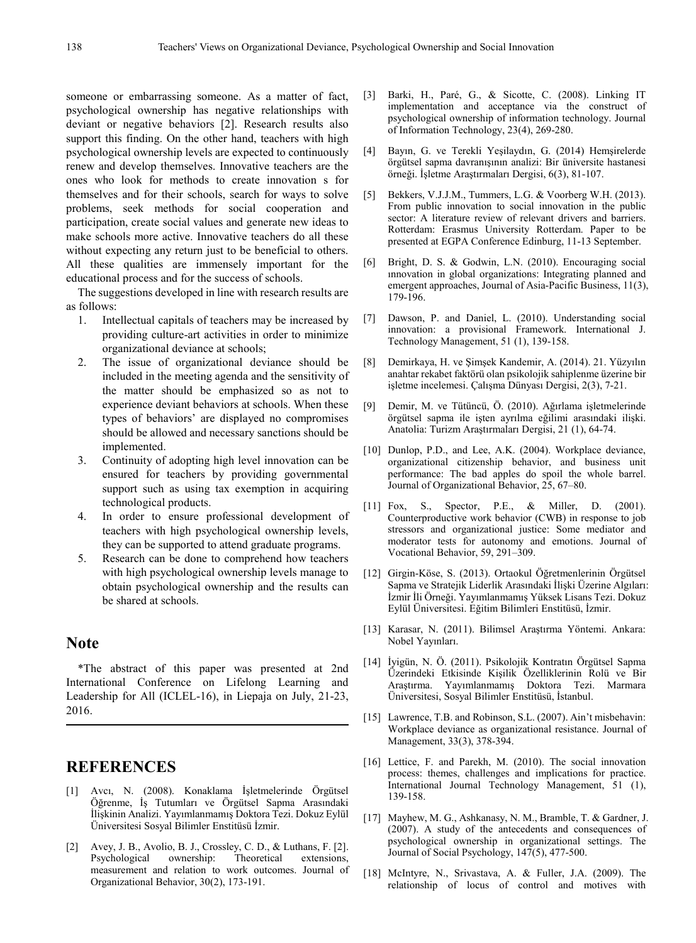someone or embarrassing someone. As a matter of fact, psychological ownership has negative relationships with deviant or negative behaviors [2]. Research results also support this finding. On the other hand, teachers with high psychological ownership levels are expected to continuously renew and develop themselves. Innovative teachers are the ones who look for methods to create innovation s for themselves and for their schools, search for ways to solve problems, seek methods for social cooperation and participation, create social values and generate new ideas to make schools more active. Innovative teachers do all these without expecting any return just to be beneficial to others. All these qualities are immensely important for the educational process and for the success of schools.

The suggestions developed in line with research results are as follows:

- 1. Intellectual capitals of teachers may be increased by providing culture-art activities in order to minimize organizational deviance at schools;
- 2. The issue of organizational deviance should be included in the meeting agenda and the sensitivity of the matter should be emphasized so as not to experience deviant behaviors at schools. When these types of behaviors' are displayed no compromises should be allowed and necessary sanctions should be implemented.
- 3. Continuity of adopting high level innovation can be ensured for teachers by providing governmental support such as using tax exemption in acquiring technological products.
- 4. In order to ensure professional development of teachers with high psychological ownership levels, they can be supported to attend graduate programs.
- 5. Research can be done to comprehend how teachers with high psychological ownership levels manage to obtain psychological ownership and the results can be shared at schools.

## **Note**

\*The abstract of this paper was presented at 2nd International Conference on Lifelong Learning and Leadership for All (ICLEL-16), in Liepaja on July, 21-23, 2016.

## **REFERENCES**

- [1] Avcı, N. (2008). Konaklama İşletmelerinde Örgütsel Öğrenme, İş Tutumları ve Örgütsel Sapma Arasındaki İlişkinin Analizi. Yayımlanmamış Doktora Tezi. Dokuz Eylül Üniversitesi Sosyal Bilimler Enstitüsü İzmir.
- [2] Avey, J. B., Avolio, B. J., Crossley, C. D., & Luthans, F. [2]. Psychological ownership: Theoretical extensions, measurement and relation to work outcomes. Journal of Organizational Behavior, 30(2), 173-191.
- [3] Barki, H., Paré, G., & Sicotte, C. (2008). Linking IT implementation and acceptance via the construct of psychological ownership of information technology. Journal of Information Technology, 23(4), 269-280.
- [4] Bayın, G. ve Terekli Yeşilaydın, G. (2014) Hemşirelerde örgütsel sapma davranışının analizi: Bir üniversite hastanesi örneği. İşletme Araştırmaları Dergisi, 6(3), 81-107.
- [5] Bekkers, V.J.J.M., Tummers, L.G. & Voorberg W.H. (2013). From public innovation to social innovation in the public sector: A literature review of relevant drivers and barriers. Rotterdam: Erasmus University Rotterdam. Paper to be presented at EGPA Conference Edinburg, 11-13 September.
- [6] Bright, D. S. & Godwin, L.N. (2010). Encouraging social ınnovation in global organizations: Integrating planned and emergent approaches, Journal of Asia-Pacific Business, 11(3), 179-196.
- [7] Dawson, P. and Daniel, L. (2010). Understanding social innovation: a provisional Framework. International J. Technology Management, 51 (1), 139-158.
- [8] Demirkaya, H. ve Şimşek Kandemir, A. (2014). 21. Yüzyılın anahtar rekabet faktörü olan psikolojik sahiplenme üzerine bir işletme incelemesi. Çalışma Dünyası Dergisi, 2(3), 7-21.
- [9] Demir, M. ve Tütüncü, Ö. (2010). Ağırlama işletmelerinde örgütsel sapma ile işten ayrılma eğilimi arasındaki ilişki. Anatolia: Turizm Araştırmaları Dergisi, 21 (1), 64-74.
- [10] Dunlop, P.D., and Lee, A.K. (2004). Workplace deviance, organizational citizenship behavior, and business unit performance: The bad apples do spoil the whole barrel. Journal of Organizational Behavior, 25, 67–80.
- [11] Fox, S., Spector, P.E., & Miller, D. (2001). Counterproductive work behavior (CWB) in response to job stressors and organizational justice: Some mediator and moderator tests for autonomy and emotions. Journal of Vocational Behavior, 59, 291–309.
- [12] Girgin-Köse, S. (2013). Ortaokul Öğretmenlerinin Örgütsel Sapma ve Stratejik Liderlik Arasındaki İlişki Üzerine Algıları: İzmir İli Örneği. Yayımlanmamış Yüksek Lisans Tezi. Dokuz Eylül Üniversitesi. Eğitim Bilimleri Enstitüsü, İzmir.
- [13] Karasar, N. (2011). Bilimsel Araştırma Yöntemi. Ankara: Nobel Yayınları.
- [14] İyigün, N. Ö. (2011). Psikolojik Kontratın Örgütsel Sapma Üzerindeki Etkisinde Kişilik Özelliklerinin Rolü ve Bir Araştırma. Yayımlanmamış Doktora Tezi. Marmara Üniversitesi, Sosyal Bilimler Enstitüsü, İstanbul.
- [15] Lawrence, T.B. and Robinson, S.L. (2007). Ain't misbehavin: Workplace deviance as organizational resistance. Journal of Management, 33(3), 378-394.
- [16] Lettice, F. and Parekh, M. (2010). The social innovation process: themes, challenges and implications for practice. International Journal Technology Management, 51 (1), 139-158.
- [17] Mayhew, M. G., Ashkanasy, N. M., Bramble, T. & Gardner, J. (2007). A study of the antecedents and consequences of psychological ownership in organizational settings. The Journal of Social Psychology, 147(5), 477-500.
- [18] McIntyre, N., Srivastava, A. & Fuller, J.A. (2009). The relationship of locus of control and motives with